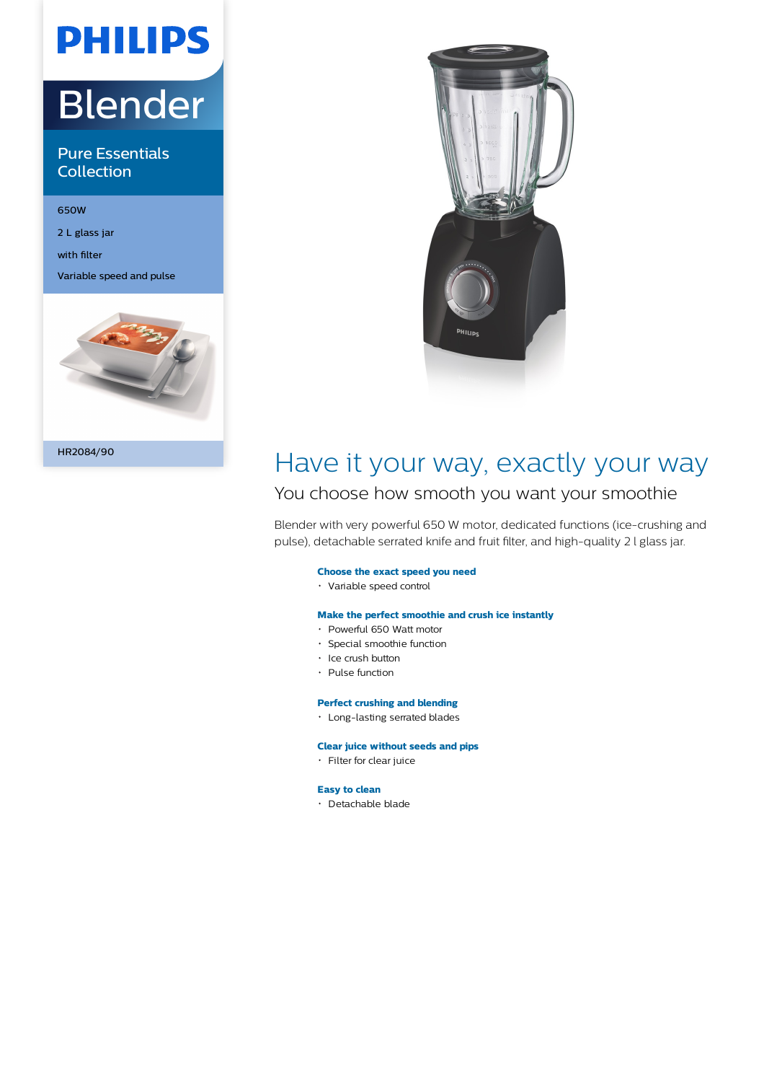# Blender

**PHILIPS** 

Pure Essentials **Collection** 

650W

2 L glass jar

with filter

Variable speed and pulse





## Have it your way, exactly your way

### You choose how smooth you want your smoothie

Blender with very powerful 650 W motor, dedicated functions (ice-crushing and pulse), detachable serrated knife and fruit filter, and high-quality 2 l glass jar.

#### **Choose the exact speed you need**

Variable speed control

#### **Make the perfect smoothie and crush ice instantly**

- Powerful 650 Watt motor
- Special smoothie function
- Ice crush button
- $\cdot$  Pulse function

#### **Perfect crushing and blending**

Long-lasting serrated blades

#### **Clear juice without seeds and pips**

Filter for clear juice

#### **Easy to clean**

Detachable blade